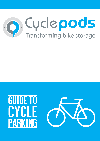



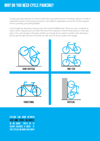Cycling is growing massively as a trend in both leisure and practical travel. Promoting cycling as a mode of sustainable transport is becoming a priority for many different organisations across the UK and a big part of this is providing cycle parking facilities.

Cycle storage has advanced a long way from the humble Sheffield stand. There are now a multitude of ways to store, hang and park your bike! We know from experience what the best practice is when planning in new cycle storage so this guide will take you through all you need to consider when planning so that you get the right products to provide you with years of secure, quality cycle storage.



cycling can burn between 400 and 1000 calories in an hour! thats up to 10,000 calories a week if you cycled an hour each way!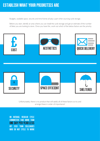Budgets, available space, security and time frames all play a part when sourcing cycle storage.

Before you start, identify an area where you can install the cycle storage and get an estimate of the number of bikes you are looking to store. Once you have this, work out which of the below factors are the priority;



Unfortunately, there is no product that will satisfy all of these factors so try and arrange these in order of importance!

On average, regular cycle commuters take more than one day per year less off sick than colleagues who do not cycle to work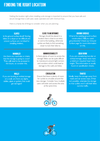Getting the location right when installing cycle storage is important to ensure that you have safe and secure storage that is well used, easily operated and with minimum fuss.

Here is a handy list of things to consider when you are planning:

#### **SLOPES**

Is the ground surface level? Storing bikes on a slope an be diffilcult and uneven surfaces are not ideal for installing shelters.

#### Close to an entrance

Storage should be placed in a location that is close to an entry or exit to the building, otherwise cyclists are likely to find something closer to lock their bike to.

#### **MANHOLES**

Are there any manholes or drains that the storage is going to cover? They will need to be accessed in the future, so consider this.

#### MANOUEVERARII ITY

Is there plenty of room to access the storage? Bikes can be quite difficult to manoeuvre around tight corners and corridors which could lead to damage to the walls and bikes.

#### Ground surface

What is the existing ground surface construction? Will you need groundworks? Check our Ground Surface page for more information on this.

#### head room

If you are considering two-tier or vertical storage, these racks have a minimum required head room height. This information is usually found on specification sheets.

#### **WALLS**

If you are looking at vertical storage on a wall, are there any lights, cables, pipes or gutters that could get damaged?

#### CIRCUI ATION

Ensure that there is plenty of room for cyclists to circulate around the new storage. Consider how mutliple users will enter and access the area at the same time.



Ideally, keep the storage away from roads and car access ways. If that isnt possible, orientate the storage so that cyclists won't roll their bikes out into traffic.



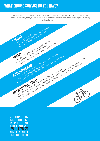## WHAT GROUND SURFACE DO YOU HAVE?

CONCRETE und surface! parking, including shelters

CALLE and surface! parking, including shelters<br>I deal ground surface! parking, including shelters<br>I deal install any cycle parking, including shelters

WETE <sub>Usually</sub>, no additional ground works required<br>deal ground any cycle parking, including stequired<br>Can install any dditional ground works required<br>be bolted to tarmac

Ideal install to addition the bolted to tarmac<br>Can instally, no additional to tarmac<br>Certain racks and stands can be bolted to tarmac<br>Certain racks an oct be fixed, these will need concrete<br>Certain racks and the fixed, the

Inetters can not be tixed directly to tarmac oncrete pads

MML racks are required, these and multiple bolts are contained to the strate and multiple bolts of the strate of the strate of the strate of the strate of the strate of the strate of the strate of the strate of the strate

NOUNTRIMINE and be botted into these so freestanding products are best<br>into suitable for race integration be best into the assements of the section<br>oncrete pade need to be beding products are best ideas.<br>Integration of the

WRAMMESLADS wider surface and multiple bolting shelters down<br>Shelters are required.<br>The Median are required to be aird and fraction for bolting shelters down<br>The Median reduce the stander and shelters are head are likely<br>S

Not suitable for racks wide stands and shelters

ICAETE surface!

**BRICK/PAVING SLABS** 

GRASS/SOFT PLAY/GRAVEL

•

 $\bullet$ 

•

TARMAC

•

•

•

•

•

 $\bullet$ 

The vast majority of cycle parking requires some kind of hard standing surface to install onto. If you haven't got concrete, then you may need to carry out some groundworks, for example if you are looking at installing shelters.

Shelters can not be tarmaching the state of the tarmaching to tariff and the state of the first and the state of the state of the state of the state of the state of the state of the state of the state of the state of the s

Production as a local racks and these such a suffices and the semi-vertical racks are ideal - and even some two-tier racks

• Any 17 Any 17 Any 18 Any 17 Any 17 Any 17 Any 17 Any 17 Any 17 Any 17 Any 17 Any 17 Any 18 and Final Surface and Final Surfaces will not be as they are not fixed down

A study from Canada found that employees who **CYCLED TO WORK WERE**<br>**LESS** STRESSED **STRESSED** WHEN THEY ARRIVED than car drivers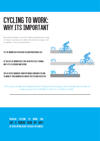# Cycling to work: WHY ITS IMPORTANT

Recently the British Council for Offices published the results of research carried out to determine levels of cycling in UK workplaces. They discovered that;

### 17% of workplaces offer no cycling provision at all

of the 83% of workplaces that do offer cycle storage, only 47% is covered and secure

38% of office workers surveyed would consider cycling to work if their workplace had better cycling facilities



This comes just after the Department for Transport announcing to aim to double the number of cycle journeys from 0.8 billion in 2013 to 1.6 billion in 2025.

regular cycling to work can cut a riders risk by 50% of developing heart disease or cancer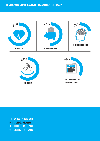

the average person will lose 13 lbs (5.8 kilograms) in their first year of cycling to work!